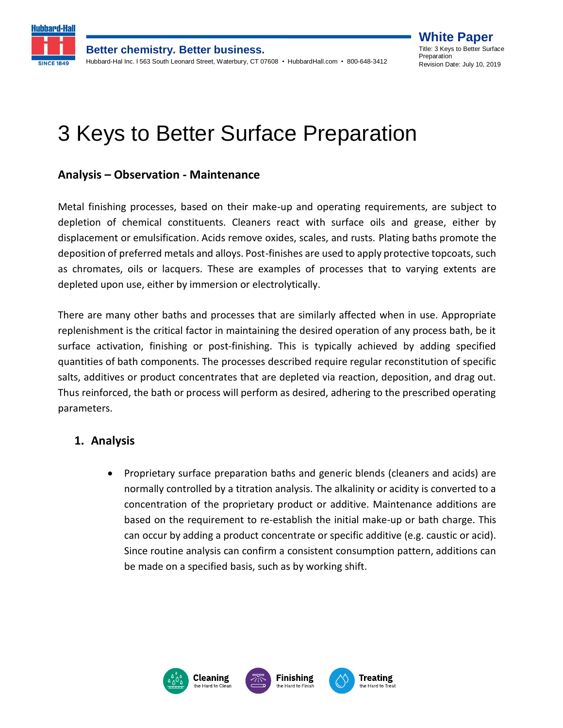

**Better chemistry. Better business.** Hubbard-Hal Inc. l 563 South Leonard Street, Waterbury, CT 07608 • HubbardHall.com • 800-648-3412

**White Paper** Title: 3 Keys to Better Surface **Preparation** Revision Date: July 10, 2019

# 3 Keys to Better Surface Preparation

## **Analysis – Observation - Maintenance**

Metal finishing processes, based on their make-up and operating requirements, are subject to depletion of chemical constituents. Cleaners react with surface oils and grease, either by displacement or emulsification. Acids remove oxides, scales, and rusts. Plating baths promote the deposition of preferred metals and alloys. Post-finishes are used to apply protective topcoats, such as chromates, oils or lacquers. These are examples of processes that to varying extents are depleted upon use, either by immersion or electrolytically.

There are many other baths and processes that are similarly affected when in use. Appropriate replenishment is the critical factor in maintaining the desired operation of any process bath, be it surface activation, finishing or post-finishing. This is typically achieved by adding specified quantities of bath components. The processes described require regular reconstitution of specific salts, additives or product concentrates that are depleted via reaction, deposition, and drag out. Thus reinforced, the bath or process will perform as desired, adhering to the prescribed operating parameters.

## **1. Analysis**

• Proprietary surface preparation baths and generic blends (cleaners and acids) are normally controlled by a titration analysis. The alkalinity or acidity is converted to a concentration of the proprietary product or additive. Maintenance additions are based on the requirement to re-establish the initial make-up or bath charge. This can occur by adding a product concentrate or specific additive (e.g. caustic or acid). Since routine analysis can confirm a consistent consumption pattern, additions can be made on a specified basis, such as by working shift.







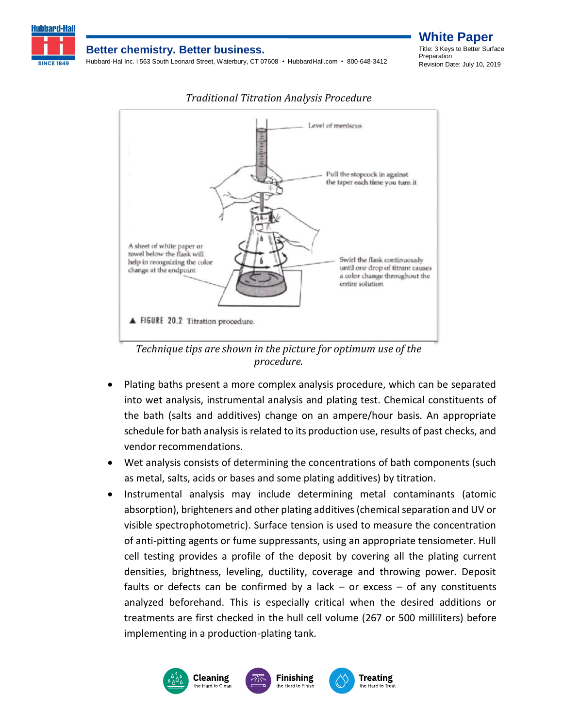

#### **Better chemistry. Better business.**

Hubbard-Hal Inc. l 563 South Leonard Street, Waterbury, CT 07608 • HubbardHall.com • 800-648-3412

**White Paper** Title: 3 Keys to Better Surface Preparation Revision Date: July 10, 2019



*Traditional Titration Analysis Procedure*

*Technique tips are shown in the picture for optimum use of the procedure.*

- Plating baths present a more complex analysis procedure, which can be separated into wet analysis, instrumental analysis and plating test. Chemical constituents of the bath (salts and additives) change on an ampere/hour basis. An appropriate schedule for bath analysis is related to its production use, results of past checks, and vendor recommendations.
- Wet analysis consists of determining the concentrations of bath components (such as metal, salts, acids or bases and some plating additives) by titration.
- Instrumental analysis may include determining metal contaminants (atomic absorption), brighteners and other plating additives (chemical separation and UV or visible spectrophotometric). Surface tension is used to measure the concentration of anti-pitting agents or fume suppressants, using an appropriate tensiometer. Hull cell testing provides a profile of the deposit by covering all the plating current densities, brightness, leveling, ductility, coverage and throwing power. Deposit faults or defects can be confirmed by a lack  $-$  or excess  $-$  of any constituents analyzed beforehand. This is especially critical when the desired additions or treatments are first checked in the hull cell volume (267 or 500 milliliters) before implementing in a production-plating tank.

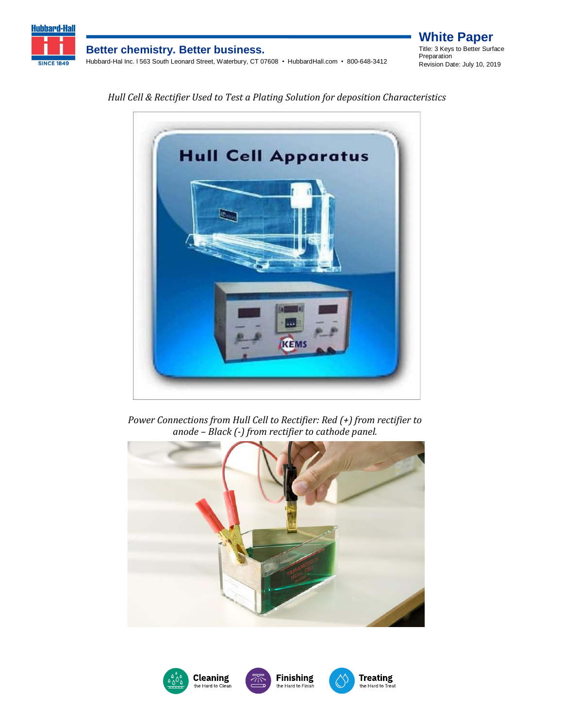

*Hull Cell & Rectifier Used to Test a Plating Solution for deposition Characteristics*



*Power Connections from Hull Cell to Rectifier: Red (+) from rectifier to anode – Black (-) from rectifier to cathode panel.*



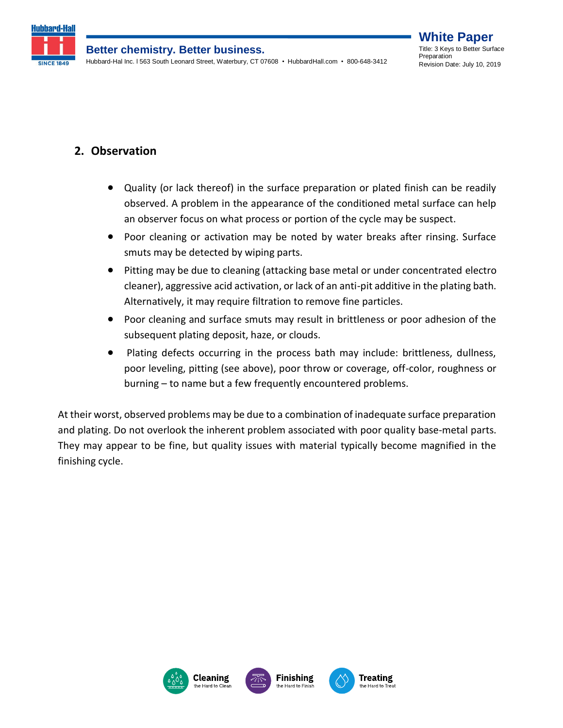

# **2. Observation**

- Quality (or lack thereof) in the surface preparation or plated finish can be readily observed. A problem in the appearance of the conditioned metal surface can help an observer focus on what process or portion of the cycle may be suspect.
- Poor cleaning or activation may be noted by water breaks after rinsing. Surface smuts may be detected by wiping parts.
- Pitting may be due to cleaning (attacking base metal or under concentrated electro cleaner), aggressive acid activation, or lack of an anti-pit additive in the plating bath. Alternatively, it may require filtration to remove fine particles.
- Poor cleaning and surface smuts may result in brittleness or poor adhesion of the subsequent plating deposit, haze, or clouds.
- Plating defects occurring in the process bath may include: brittleness, dullness, poor leveling, pitting (see above), poor throw or coverage, off-color, roughness or burning – to name but a few frequently encountered problems.

At their worst, observed problems may be due to a combination of inadequate surface preparation and plating. Do not overlook the inherent problem associated with poor quality base-metal parts. They may appear to be fine, but quality issues with material typically become magnified in the finishing cycle.





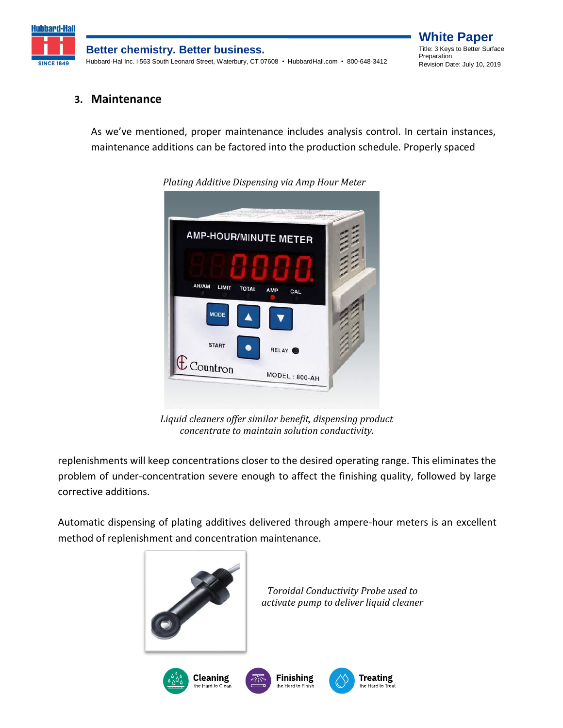

#### **3. Maintenance**

As we've mentioned, proper maintenance includes analysis control. In certain instances, maintenance additions can be factored into the production schedule. Properly spaced



*Plating Additive Dispensing via Amp Hour Meter*

*Liquid cleaners offer similar benefit, dispensing product concentrate to maintain solution conductivity.*

replenishments will keep concentrations closer to the desired operating range. This eliminates the problem of under-concentration severe enough to affect the finishing quality, followed by large corrective additions.

Automatic dispensing of plating additives delivered through ampere-hour meters is an excellent method of replenishment and concentration maintenance.



*Toroidal Conductivity Probe used to activate pump to deliver liquid cleaner*